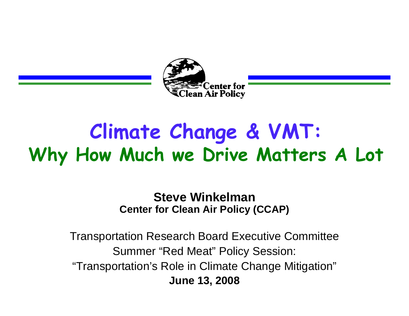

## **Climate Change & VMT: Why How Much we Drive Matters A Lot**

#### **Steve Winkelman Center for Clean Air Policy (CCAP)**

Transportation Research Board Executive Committee Summer "Red Meat" Policy Session: "Transportation's Role in Climate Change Mitigation" **June 13, 2008**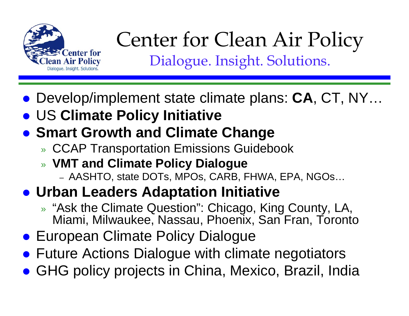

#### Center for Clean Air Policy Dialogue. Insight. Solutions.

- Develop/implement state climate plans: **CA**, CT, NY...
- **US Climate Policy Initiative**
- **Smart Growth and Climate Change** 
	- » CCAP Transportation Emissions Guidebook
	- » **VMT and Climate Policy Dialogue**
		- AASHTO, state DOTs, MPOs, CARB, FHWA, EPA, NGOs…
- **Urban Leaders Adaptation Initiative** 
	- » "Ask the Climate Question": Chicago, King County, LA, Miami, Milwaukee, Nassau, Phoenix, San Fran, Toronto
- **European Climate Policy Dialogue**
- **Future Actions Dialogue with climate negotiators**
- **GHG policy projects in China, Mexico, Brazil, India**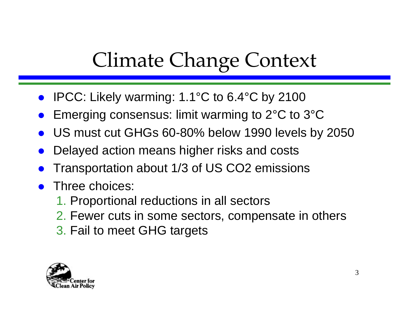## Climate Change Context

- IPCC: Likely warming: 1.1°C to 6.4°C by 2100
- $\bullet$ Emerging consensus: limit warming to 2°C to 3°C
- $\bullet$ US must cut GHGs 60-80% below 1990 levels by 2050
- $\bullet$ Delayed action means higher risks and costs
- $\bullet$ Transportation about 1/3 of US CO2 emissions
- $\bullet$  Three choices:
	- 1. Proportional reductions in all sectors
	- 2. Fewer cuts in some sectors, compensate in others
	- 3. Fail to meet GHG targets

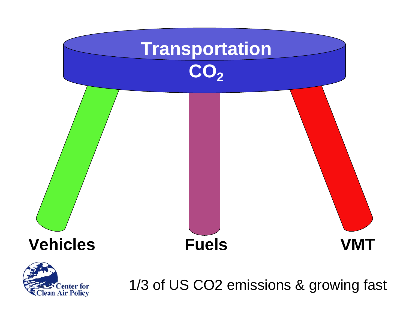

lean Air Policy

1/3 of US CO2 emissions & growing fast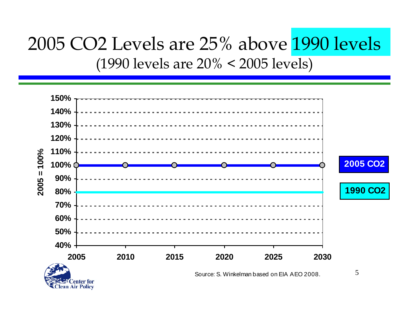#### 2005 CO2 Levels are 25% above 1990 levels (1990 levels are 20% < 2005 levels)

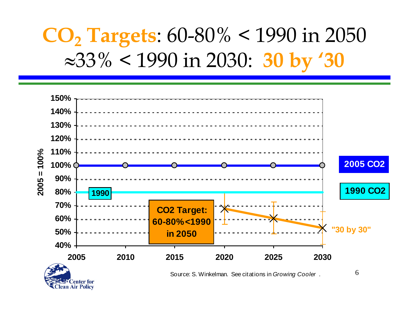## **CO2 Targets**: 60-80% < 1990 in 2050 <sup>≈</sup>33% < 1990 in 2030: **30 by '30**



**Center for** lean Air Policy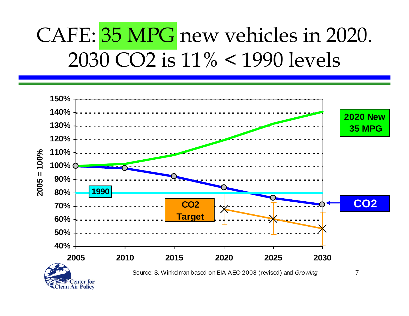## CAFE: 35 MPG new vehicles in 2020. 2030 CO2 is 11% < 1990 levels

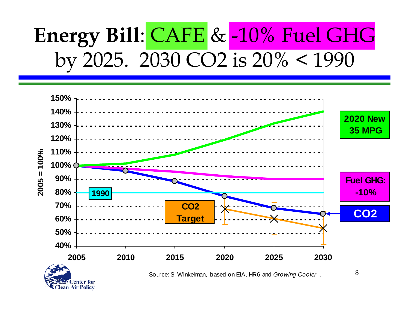## **Energy Bill**: CAFE & -10% Fuel GHG by 2025. 2030 CO2 is 20% < 1990



**Center for** lean Air Policy Source: S. Winkelman, based on EIA, HR6 and *Growing Cooler* .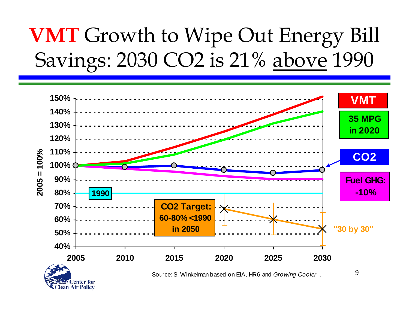## **VMT** Growth to Wipe Out Energy Bill Savings: 2030 CO2 is 21% above 1990

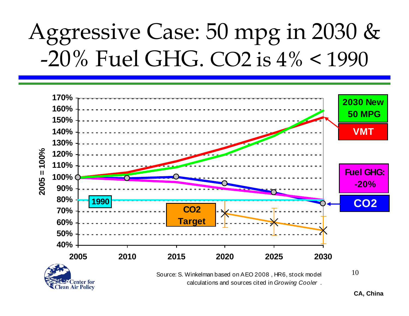# Aggressive Case: 50 mpg in 2030 & -20% Fuel GHG. CO2 is 4% < 1990



**Center for** ean Air Policy Source: S. Winkelman based on AEO 2008 , HR6, stock model calculations and sources cited in *Growing Cooler* . 10

**CA, China**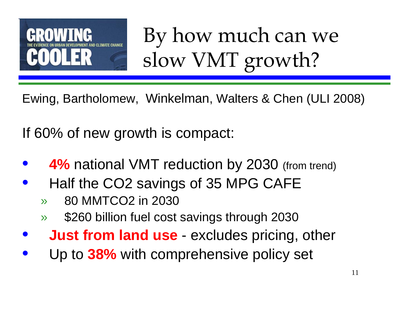

By how much can we slow VMT growth?

Ewing, Bartholomew, Winkelman, Walters & Chen (ULI 2008)

If 60% of new growth is compact:

- **4% national VMT reduction by 2030 (from trend)**
- Half the CO2 savings of 35 MPG CAFE
	- » 80 MMTCO2 in 2030
	- » \$260 billion fuel cost savings through 2030
- **Just from land use** excludes pricing, other
- Up to **38%** with comprehensive policy set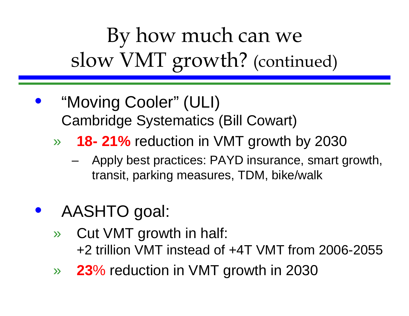By how much can we slow VMT growth? (continued)

• "Moving Cooler" (ULI) Cambridge Systematics (Bill Cowart)

» **18- 21%** reduction in VMT growth by 2030

– Apply best practices: PAYD insurance, smart growth, transit, parking measures, TDM, bike/walk

#### • AASHTO goal:

- » Cut VMT growth in half: +2 trillion VMT instead of +4T VMT from 2006-2055
- » **23**% reduction in VMT growth in 2030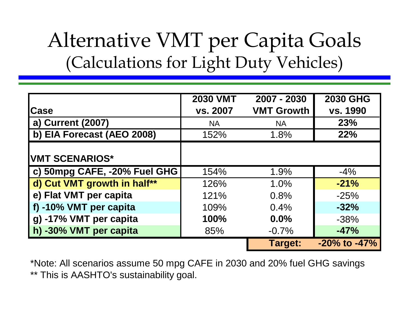### Alternative VMT per Capita Goals (Calculations for Light Duty Vehicles)

|                                      | <b>2030 VMT</b> | 2007 - 2030       | <b>2030 GHG</b>    |
|--------------------------------------|-----------------|-------------------|--------------------|
| <b>Case</b>                          | vs. 2007        | <b>VMT Growth</b> | vs. 1990           |
| a) Current (2007)                    | <b>NA</b>       | <b>NA</b>         | 23%                |
| b) EIA Forecast (AEO 2008)           | 152%            | 1.8%              | 22%                |
|                                      |                 |                   |                    |
| <b>IVMT SCENARIOS*</b>               |                 |                   |                    |
| $\vert$ c) 50mpg CAFE, -20% Fuel GHG | 154%            | 1.9%              | $-4\%$             |
| d) Cut VMT growth in half**          | 126%            | 1.0%              | $-21%$             |
| e) Flat VMT per capita               | 121%            | 0.8%              | $-25%$             |
| f) -10% VMT per capita               | 109%            | 0.4%              | $-32%$             |
| g) -17% VMT per capita               | 100%            | $0.0\%$           | $-38%$             |
| h) -30% VMT per capita               | 85%             | $-0.7%$           | $-47%$             |
|                                      |                 | <b>Target:</b>    | $-20\%$ to $-47\%$ |

\*Note: All scenarios assume 50 mpg CAFE in 2030 and 20% fuel GHG savings \*\* This is AASHTO's sustainability goal.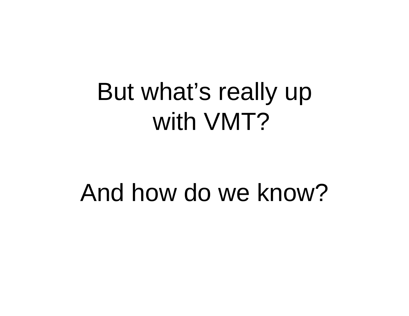# But what's really up with VMT?

# And how do we know?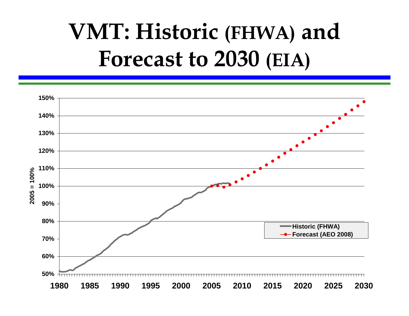# **VMT: Historic (FHWA) and Forecast to 2030 (EIA)**

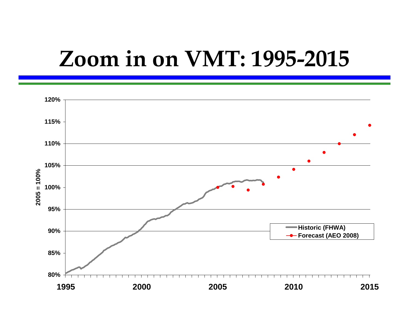## **Zoom in on VMT: 1995-2015**

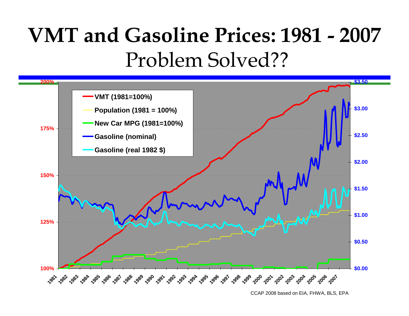## **VMT and Gasoline Prices: 1981 - 2007** Problem Solved??



CCAP 2008 based on EIA, FHWA, BLS, EPA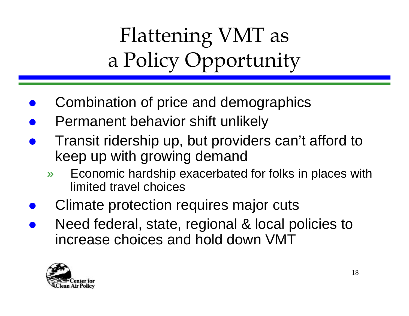Flattening VMT as a Policy Opportunity

- $\bullet$ Combination of price and demographics
- $\bullet$ Permanent behavior shift unlikely
- $\bullet$  Transit ridership up, but providers can't afford to keep up with growing demand
	- » Economic hardship exacerbated for folks in places with limited travel choices
- $\bullet$ Climate protection requires major cuts
- $\bullet$  Need federal, state, regional & local policies to increase choices and hold down VMT

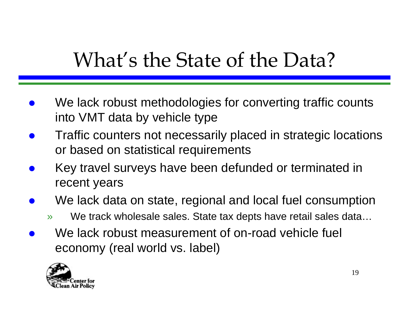## What's the State of the Data?

- $\bullet$  We lack robust methodologies for converting traffic counts into VMT data by vehicle type
- $\bullet$  Traffic counters not necessarily placed in strategic locations or based on statistical requirements
- $\bullet$  Key travel surveys have been defunded or terminated in recent years
- $\bullet$  We lack data on state, regional and local fuel consumption
	- » We track wholesale sales. State tax depts have retail sales data…
- $\bullet$  We lack robust measurement of on-road vehicle fuel economy (real world vs. label)

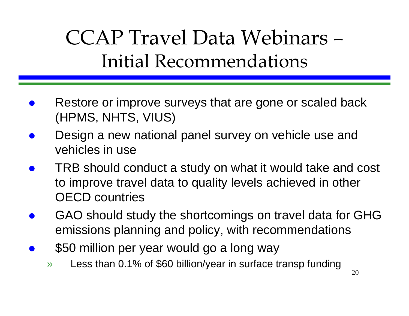## CCAP Travel Data Webinars –Initial Recommendations

- $\bullet$  Restore or improve surveys that are gone or scaled back (HPMS, NHTS, VIUS)
- $\bullet$  Design a new national panel survey on vehicle use and vehicles in use
- $\bullet$  TRB should conduct a study on what it would take and cost to improve travel data to quality levels achieved in other OECD countries
- $\bullet$  GAO should study the shortcomings on travel data for GHG emissions planning and policy, with recommendations
- $\bullet$  \$50 million per year would go a long way
	- » Less than 0.1% of \$60 billion/year in surface transp funding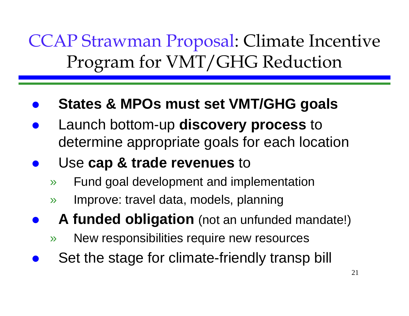CCAP Strawman Proposal: Climate Incentive Program for VMT/GHG Reduction

- $\bullet$ **States & MPOs must set VMT/GHG goals**
- $\bullet$  Launch bottom-up **discovery process** to determine appropriate goals for each location
- $\bullet$  Use **cap & trade revenues** to
	- » Fund goal development and implementation
	- » Improve: travel data, models, planning
- $\bullet$  **A funded obligation** (not an unfunded mandate!)
	- » New responsibilities require new resources
- $\bullet$ Set the stage for climate-friendly transp bill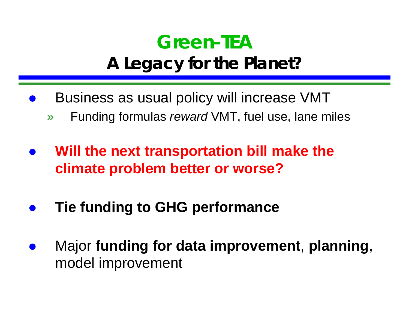#### **Green-TEA A Legacy for the Planet?**

- $\bullet$  Business as usual policy will increase VMT
	- » Funding formulas *reward* VMT, fuel use, lane miles
- $\bullet$  **Will the next transportation bill make the climate problem better or worse?**
- $\bullet$ **Tie funding to GHG performance**
- $\bullet$  Major **funding for data improvement**, **planning**, model improvement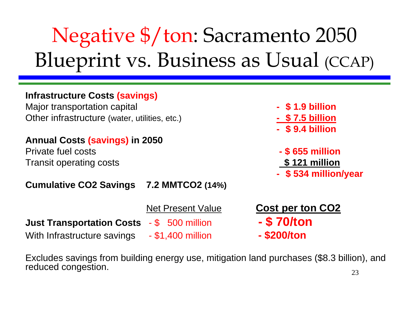## Negative \$/ton: Sacramento 2050 Blueprint vs. Business as Usual (CCAP)

#### **Infrastructure Costs (savings)**

Major transportation capital **COV COVERTS - \$1.9 billion** Other infrastructure (water, utilities, etc.) **- \$ 7.5 billion**

#### **Annual Costs (savings) in 2050**

Private fuel costs **- \$ 655 million** Transit operating costs **\$ 121 million**

#### **Cumulative CO2 Savings 7.2 MMTCO2 (14%)**

|                                                | <b>Net Present Valu</b> |
|------------------------------------------------|-------------------------|
| Just Transportation Costs   - \$   500 million |                         |
| With Infrastructure savings                    | - \$1,400 million       |

- 
- 
- **\$ 9.4 billion**
- 
- **\$ 534 million/year**
- <u>Ret Cost per ton CO2</u> **Just Transportation Costs** - \$ 500 million **- \$ 70/ton**
	- With Infrastructure savings \$1,400 million  **\$200/ton**

Excludes savings from building energy use, mitigation land purchases (\$8.3 billion), and reduced congestion.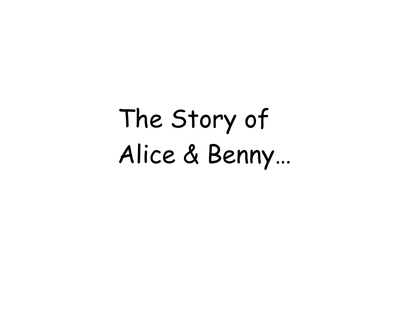The Story of Alice & Benny…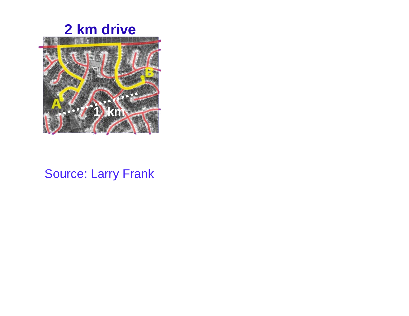



#### Source: Larry Frank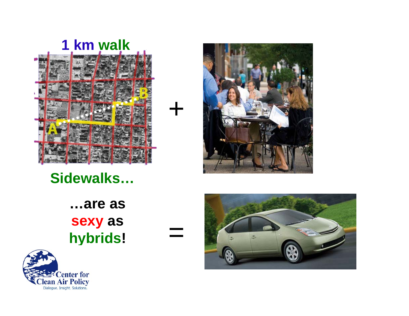



+

 $=$ 

**Sidewalks…**

**…are as sexy as hybrids!**